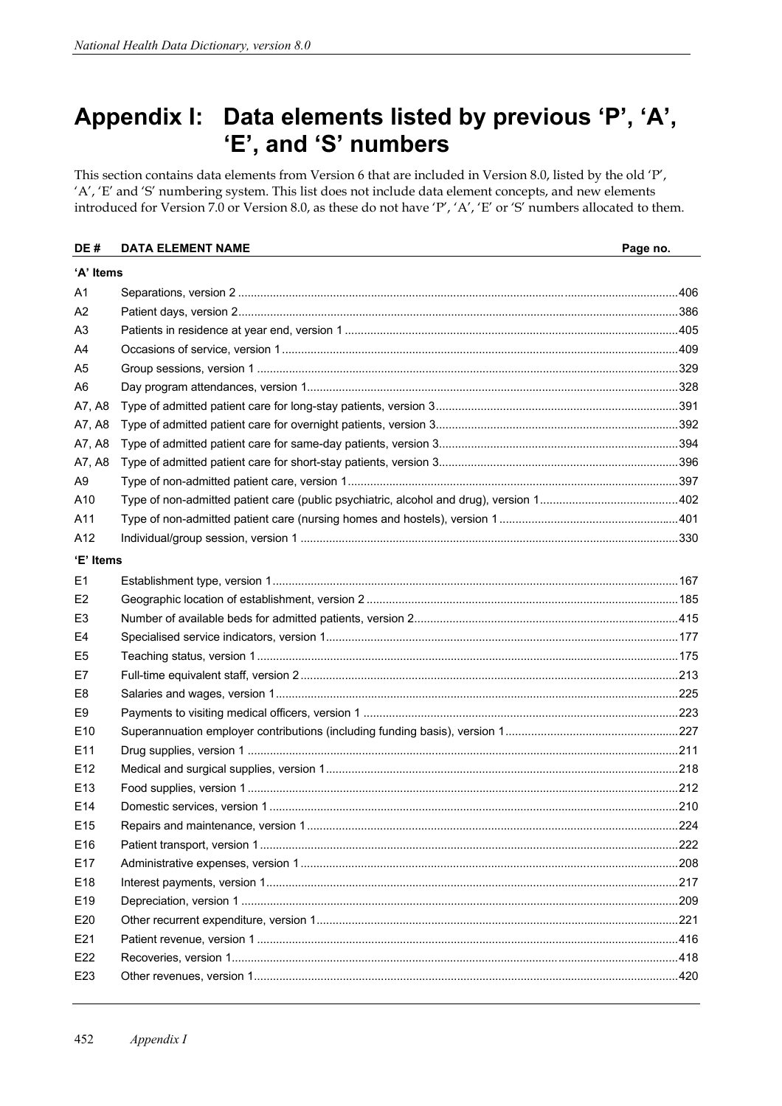## **Appendix I: Data elements listed by previous 'P', 'A', 'E', and 'S' numbers**

This section contains data elements from Version 6 that are included in Version 8.0, listed by the old 'P', 'A', 'E' and 'S' numbering system. This list does not include data element concepts, and new elements introduced for Version 7.0 or Version 8.0, as these do not have 'P', 'A', 'E' or 'S' numbers allocated to them.

| DE#             | <b>DATA ELEMENT NAME</b> | Page no. |  |  |  |
|-----------------|--------------------------|----------|--|--|--|
| 'A' Items       |                          |          |  |  |  |
| A1              |                          |          |  |  |  |
| A2              |                          |          |  |  |  |
| A3              |                          |          |  |  |  |
| A4              |                          |          |  |  |  |
| A <sub>5</sub>  |                          |          |  |  |  |
| A6              |                          |          |  |  |  |
| A7, A8          |                          |          |  |  |  |
| A7, A8          |                          |          |  |  |  |
| A7, A8          |                          |          |  |  |  |
| A7, A8          |                          |          |  |  |  |
| A9              |                          |          |  |  |  |
| A10             |                          |          |  |  |  |
| A11             |                          |          |  |  |  |
| A12             |                          |          |  |  |  |
| 'E' Items       |                          |          |  |  |  |
| E1              |                          |          |  |  |  |
| E <sub>2</sub>  |                          |          |  |  |  |
| E3              |                          |          |  |  |  |
| E4              |                          |          |  |  |  |
| E <sub>5</sub>  |                          |          |  |  |  |
| E7              |                          |          |  |  |  |
| E <sub>8</sub>  |                          |          |  |  |  |
| E9              |                          |          |  |  |  |
| E <sub>10</sub> |                          |          |  |  |  |
| E <sub>11</sub> |                          |          |  |  |  |
| E <sub>12</sub> |                          |          |  |  |  |
| E <sub>13</sub> |                          |          |  |  |  |
| E14             |                          |          |  |  |  |
| E15             |                          |          |  |  |  |
| E16             |                          |          |  |  |  |
| E17             |                          |          |  |  |  |
| E <sub>18</sub> |                          |          |  |  |  |
| E19             |                          |          |  |  |  |
| E20             |                          |          |  |  |  |
| E21             |                          |          |  |  |  |
| E22             |                          |          |  |  |  |
| E23             |                          |          |  |  |  |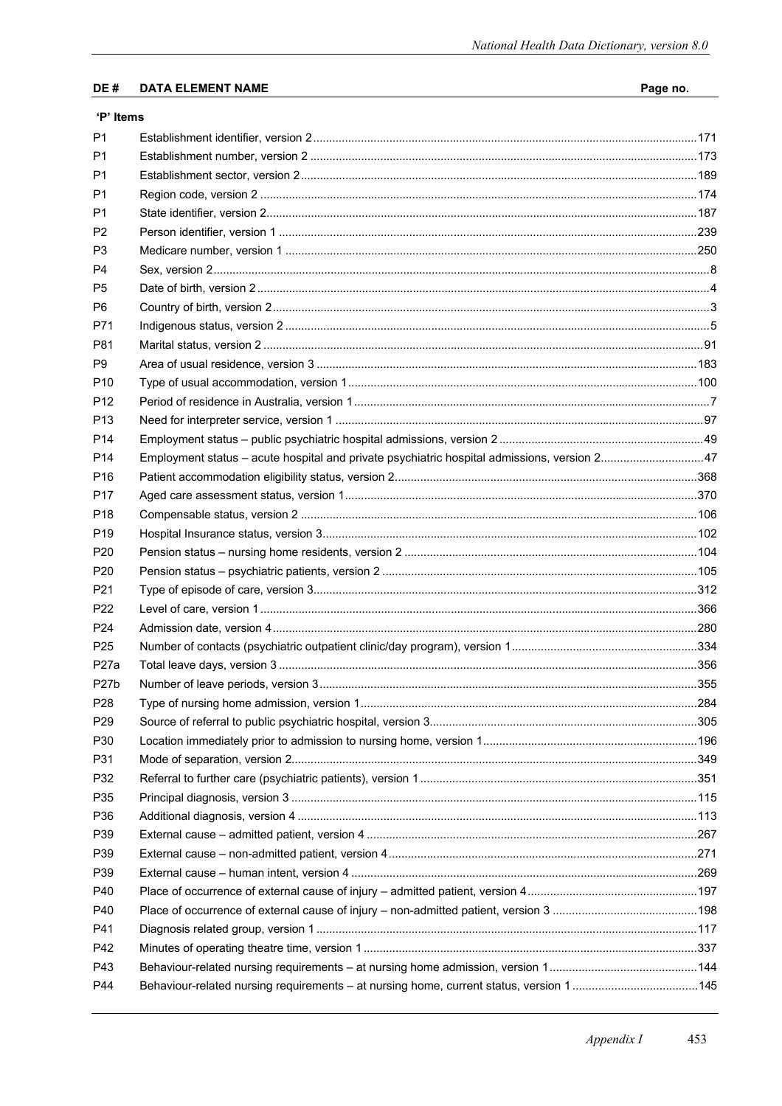## $DE#$ **DATA ELEMENT NAME**

## 'P' Items

| P <sub>1</sub>    |                                                                                              |  |
|-------------------|----------------------------------------------------------------------------------------------|--|
| P1                |                                                                                              |  |
| P1                |                                                                                              |  |
| P1                |                                                                                              |  |
| P1                |                                                                                              |  |
| P <sub>2</sub>    |                                                                                              |  |
| P <sub>3</sub>    |                                                                                              |  |
| P4                |                                                                                              |  |
| P <sub>5</sub>    |                                                                                              |  |
| P6                |                                                                                              |  |
| P71               |                                                                                              |  |
| P81               |                                                                                              |  |
| P <sub>9</sub>    |                                                                                              |  |
| P <sub>10</sub>   |                                                                                              |  |
| P <sub>12</sub>   |                                                                                              |  |
| P <sub>13</sub>   |                                                                                              |  |
| P <sub>14</sub>   |                                                                                              |  |
| P <sub>14</sub>   | Employment status - acute hospital and private psychiatric hospital admissions, version 2 47 |  |
| P <sub>16</sub>   |                                                                                              |  |
| P <sub>17</sub>   |                                                                                              |  |
| P <sub>18</sub>   |                                                                                              |  |
| P <sub>19</sub>   |                                                                                              |  |
| P <sub>20</sub>   |                                                                                              |  |
| P <sub>20</sub>   |                                                                                              |  |
| P <sub>21</sub>   |                                                                                              |  |
| P <sub>22</sub>   |                                                                                              |  |
| P <sub>24</sub>   |                                                                                              |  |
| P <sub>25</sub>   |                                                                                              |  |
| P <sub>27</sub> a |                                                                                              |  |
| P <sub>27</sub> b |                                                                                              |  |
| P <sub>28</sub>   |                                                                                              |  |
| P <sub>29</sub>   |                                                                                              |  |
| P30               |                                                                                              |  |
| P31               |                                                                                              |  |
| P32               |                                                                                              |  |
| P35               |                                                                                              |  |
| P36               |                                                                                              |  |
| P39               |                                                                                              |  |
| P39               |                                                                                              |  |
| P39               |                                                                                              |  |
| P40               |                                                                                              |  |
| P40               |                                                                                              |  |
| P41               |                                                                                              |  |
| P42               |                                                                                              |  |
| P43               |                                                                                              |  |
| P44               | Behaviour-related nursing requirements - at nursing home, current status, version 1145       |  |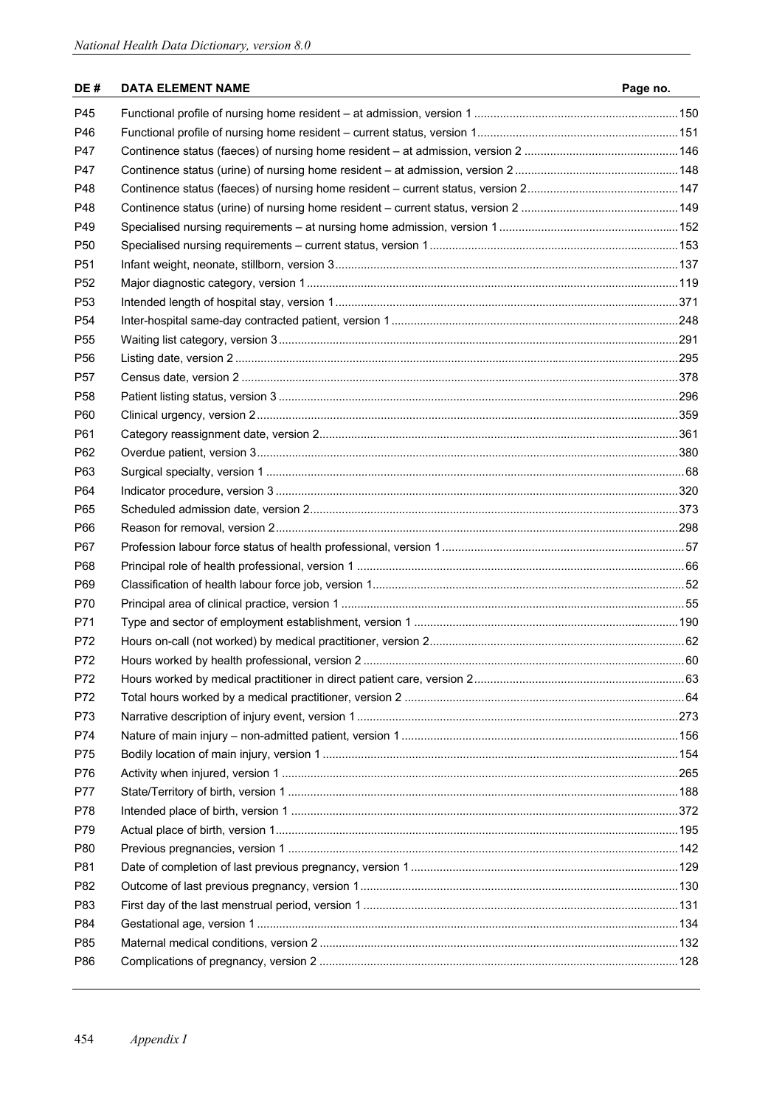## **DE # DATA ELEMENT NAME Page no.**

| P45             |  |
|-----------------|--|
| P46             |  |
| P47             |  |
| P47             |  |
| P48             |  |
| P48             |  |
| P49             |  |
| P <sub>50</sub> |  |
| P <sub>51</sub> |  |
| P <sub>52</sub> |  |
| P <sub>53</sub> |  |
| P <sub>54</sub> |  |
| P <sub>55</sub> |  |
| P <sub>56</sub> |  |
| P <sub>57</sub> |  |
| P <sub>58</sub> |  |
| P60             |  |
| P61             |  |
| P62             |  |
| P63             |  |
| P64             |  |
| P65             |  |
| P66             |  |
| P67             |  |
| P68             |  |
| P69             |  |
| P70             |  |
| P71             |  |
| P72             |  |
| P72             |  |
| P72             |  |
| P72             |  |
| P73             |  |
| P74             |  |
| P75             |  |
| P76             |  |
| <b>P77</b>      |  |
| P78             |  |
| P79             |  |
| P80             |  |
| P81             |  |
| P82             |  |
| P83             |  |
| P84             |  |
| P85             |  |
| P86             |  |
|                 |  |